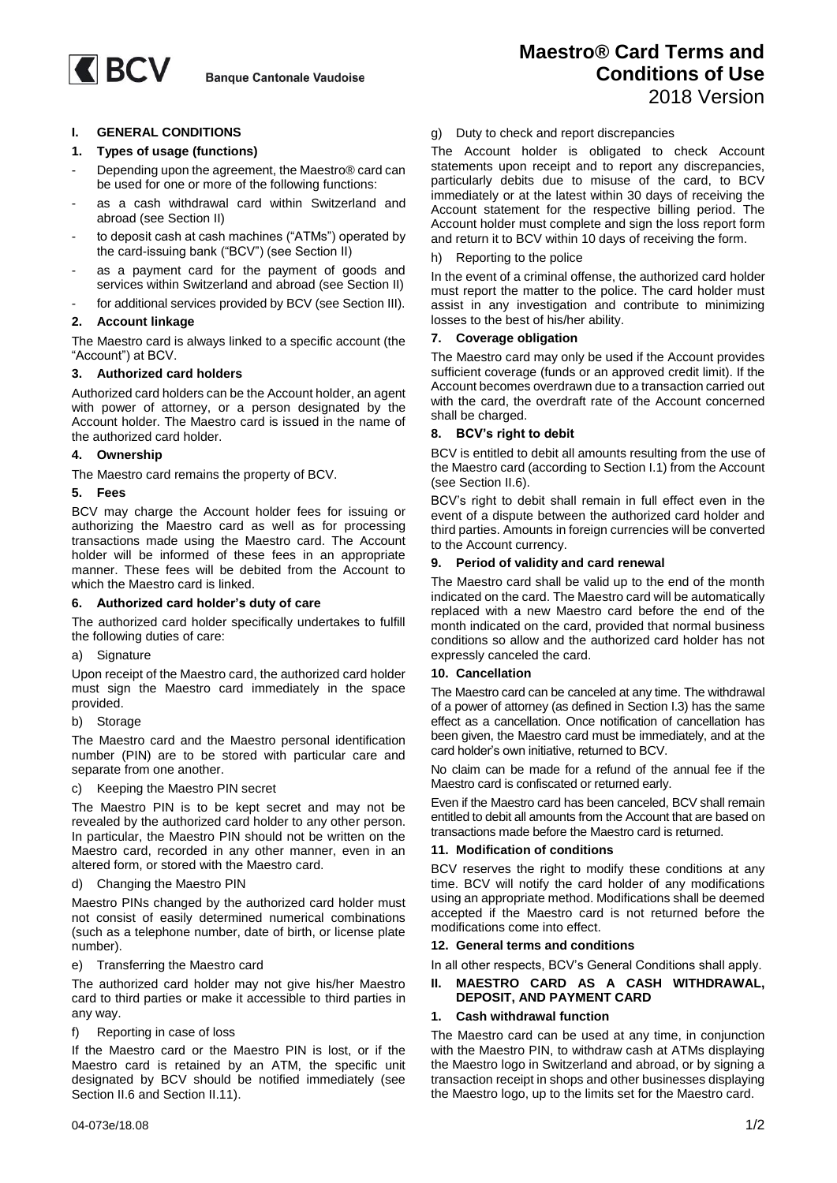# **I. GENERAL CONDITIONS**

## **1. Types of usage (functions)**

- Depending upon the agreement, the Maestro® card can be used for one or more of the following functions:
- as a cash withdrawal card within Switzerland and abroad (see Section II)
- to deposit cash at cash machines ("ATMs") operated by the card-issuing bank ("BCV") (see Section II)
- as a payment card for the payment of goods and services within Switzerland and abroad (see Section II)
- for additional services provided by BCV (see Section III).

## **2. Account linkage**

The Maestro card is always linked to a specific account (the "Account") at BCV.

## **3. Authorized card holders**

Authorized card holders can be the Account holder, an agent with power of attorney, or a person designated by the Account holder. The Maestro card is issued in the name of the authorized card holder.

# **4. Ownership**

The Maestro card remains the property of BCV.

#### **5. Fees**

BCV may charge the Account holder fees for issuing or authorizing the Maestro card as well as for processing transactions made using the Maestro card. The Account holder will be informed of these fees in an appropriate manner. These fees will be debited from the Account to which the Maestro card is linked.

#### **6. Authorized card holder's duty of care**

The authorized card holder specifically undertakes to fulfill the following duties of care:

a) Signature

Upon receipt of the Maestro card, the authorized card holder must sign the Maestro card immediately in the space provided.

b) Storage

The Maestro card and the Maestro personal identification number (PIN) are to be stored with particular care and separate from one another.

#### c) Keeping the Maestro PIN secret

The Maestro PIN is to be kept secret and may not be revealed by the authorized card holder to any other person. In particular, the Maestro PIN should not be written on the Maestro card, recorded in any other manner, even in an altered form, or stored with the Maestro card.

#### d) Changing the Maestro PIN

Maestro PINs changed by the authorized card holder must not consist of easily determined numerical combinations (such as a telephone number, date of birth, or license plate number).

#### e) Transferring the Maestro card

The authorized card holder may not give his/her Maestro card to third parties or make it accessible to third parties in any way.

#### f) Reporting in case of loss

If the Maestro card or the Maestro PIN is lost, or if the Maestro card is retained by an ATM, the specific unit designated by BCV should be notified immediately (see Section II.6 and Section II.11).

## g) Duty to check and report discrepancies

The Account holder is obligated to check Account statements upon receipt and to report any discrepancies, particularly debits due to misuse of the card, to BCV immediately or at the latest within 30 days of receiving the Account statement for the respective billing period. The Account holder must complete and sign the loss report form and return it to BCV within 10 days of receiving the form.

#### h) Reporting to the police

In the event of a criminal offense, the authorized card holder must report the matter to the police. The card holder must assist in any investigation and contribute to minimizing losses to the best of his/her ability.

#### **7. Coverage obligation**

The Maestro card may only be used if the Account provides sufficient coverage (funds or an approved credit limit). If the Account becomes overdrawn due to a transaction carried out with the card, the overdraft rate of the Account concerned shall be charged.

#### **8. BCV's right to debit**

BCV is entitled to debit all amounts resulting from the use of the Maestro card (according to Section I.1) from the Account (see Section II.6).

BCV's right to debit shall remain in full effect even in the event of a dispute between the authorized card holder and third parties. Amounts in foreign currencies will be converted to the Account currency.

#### **9. Period of validity and card renewal**

The Maestro card shall be valid up to the end of the month indicated on the card. The Maestro card will be automatically replaced with a new Maestro card before the end of the month indicated on the card, provided that normal business conditions so allow and the authorized card holder has not expressly canceled the card.

#### **10. Cancellation**

The Maestro card can be canceled at any time. The withdrawal of a power of attorney (as defined in Section I.3) has the same effect as a cancellation. Once notification of cancellation has been given, the Maestro card must be immediately, and at the card holder's own initiative, returned to BCV.

No claim can be made for a refund of the annual fee if the Maestro card is confiscated or returned early.

Even if the Maestro card has been canceled, BCV shall remain entitled to debit all amounts from the Account that are based on transactions made before the Maestro card is returned.

#### **11. Modification of conditions**

BCV reserves the right to modify these conditions at any time. BCV will notify the card holder of any modifications using an appropriate method. Modifications shall be deemed accepted if the Maestro card is not returned before the modifications come into effect.

#### **12. General terms and conditions**

In all other respects, BCV's General Conditions shall apply.

## **II. MAESTRO CARD AS A CASH WITHDRAWAL, DEPOSIT, AND PAYMENT CARD**

#### **1. Cash withdrawal function**

The Maestro card can be used at any time, in conjunction with the Maestro PIN, to withdraw cash at ATMs displaying the Maestro logo in Switzerland and abroad, or by signing a transaction receipt in shops and other businesses displaying the Maestro logo, up to the limits set for the Maestro card.

# **Maestro® Card Terms and Conditions of Use** 2018 Version